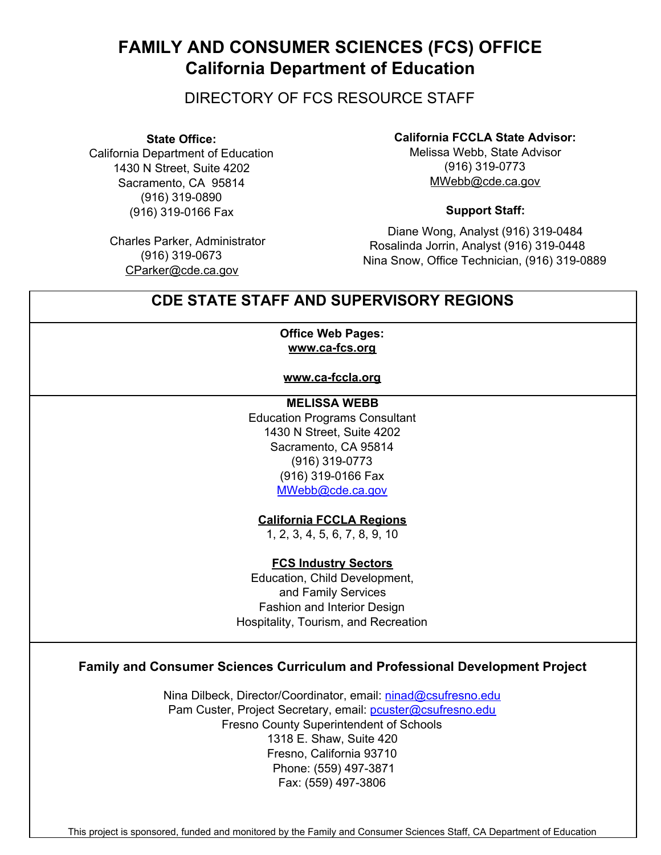# **FAMILY AND CONSUMER SCIENCES (FCS) OFFICE California Department of Education**

DIRECTORY OF FCS RESOURCE STAFF

**State Office:**

California Department of Education 1430 N Street, Suite 4202 Sacramento, CA 95814 (916) 319-0890 (916) 319-0166 Fax

> Charles Parker, Administrator (916) 319-0673 CParker@cde.ca.gov

**California FCCLA State Advisor:**

Melissa Webb, State Advisor (916) 319-0773 MWebb@cde.ca.gov

#### **Support Staff:**

Diane Wong, Analyst (916) 319-0484 Rosalinda Jorrin, Analyst (916) 319-0448 Nina Snow, Office Technician, (916) 319-0889

## **CDE STATE STAFF AND SUPERVISORY REGIONS**

#### **Office Web Pages: www.ca-fcs.org**

**www.ca-fccla.org**

**MELISSA WEBB** Education Programs Consultant 1430 N Street, Suite 4202 Sacramento, CA 95814 (916) 319-0773 (916) 319-0166 Fax MWebb@cde.ca.gov

**California FCCLA Regions**

1, 2, 3, 4, 5, 6, 7, 8, 9, 10

**FCS Industry Sectors**

Education, Child Development, and Family Services Fashion and Interior Design Hospitality, Tourism, and Recreation

### **Family and Consumer Sciences Curriculum and Professional Development Project**

Nina Dilbeck, Director/Coordinator, email: [ninad@csufresno.edu](mailto:ninad@csufresno.edu) Pam Custer, Project Secretary, email: [pcuster@csufresno.edu](mailto:pcuster@csufresno.edu) Fresno County Superintendent of Schools 1318 E. Shaw, Suite 420 Fresno, California 93710 Phone: (559) 497-3871 Fax: (559) 497-3806

This project is sponsored, funded and monitored by the Family and Consumer Sciences Staff, CA Department of Education